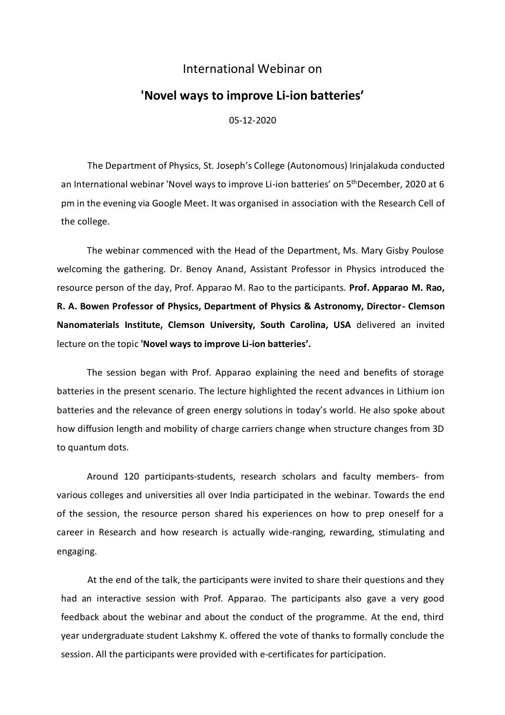## International Webinar on

## **'Novel ways to improve Li-ion batteries'**

05-12-2020

The Department of Physics, St. Joseph's College (Autonomous) Irinjalakuda conducted an International webinar 'Novel ways to improve Li-ion batteries' on 5<sup>th</sup>December, 2020 at 6 pm in the evening via Google Meet. It was organised in association with the Research Cell of the college.

The webinar commenced with the Head of the Department, Ms. Mary Gisby Poulose welcoming the gathering. Dr. Benoy Anand, Assistant Professor in Physics introduced the resource person of the day, Prof. Apparao M. Rao to the participants. **Prof. Apparao M. Rao, R. A. Bowen Professor of Physics, Department of Physics & Astronomy, Director- Clemson Nanomaterials Institute, Clemson University, South Carolina, USA** delivered an invited lecture on the topic **'Novel ways to improve Li-ion batteries'.** 

The session began with Prof. Apparao explaining the need and benefits of storage batteries in the present scenario. The lecture highlighted the recent advances in Lithium ion batteries and the relevance of green energy solutions in today's world. He also spoke about how diffusion length and mobility of charge carriers change when structure changes from 3D to quantum dots.

Around 120 participants-students, research scholars and faculty members- from various colleges and universities all over India participated in the webinar. Towards the end of the session, the resource person shared his experiences on how to prep oneself for a career in Research and how research is actually wide-ranging, rewarding, stimulating and engaging.

At the end of the talk, the participants were invited to share their questions and they had an interactive session with Prof. Apparao. The participants also gave a very good feedback about the webinar and about the conduct of the programme. At the end, third year undergraduate student Lakshmy K. offered the vote of thanks to formally conclude the session. All the participants were provided with e-certificates for participation.